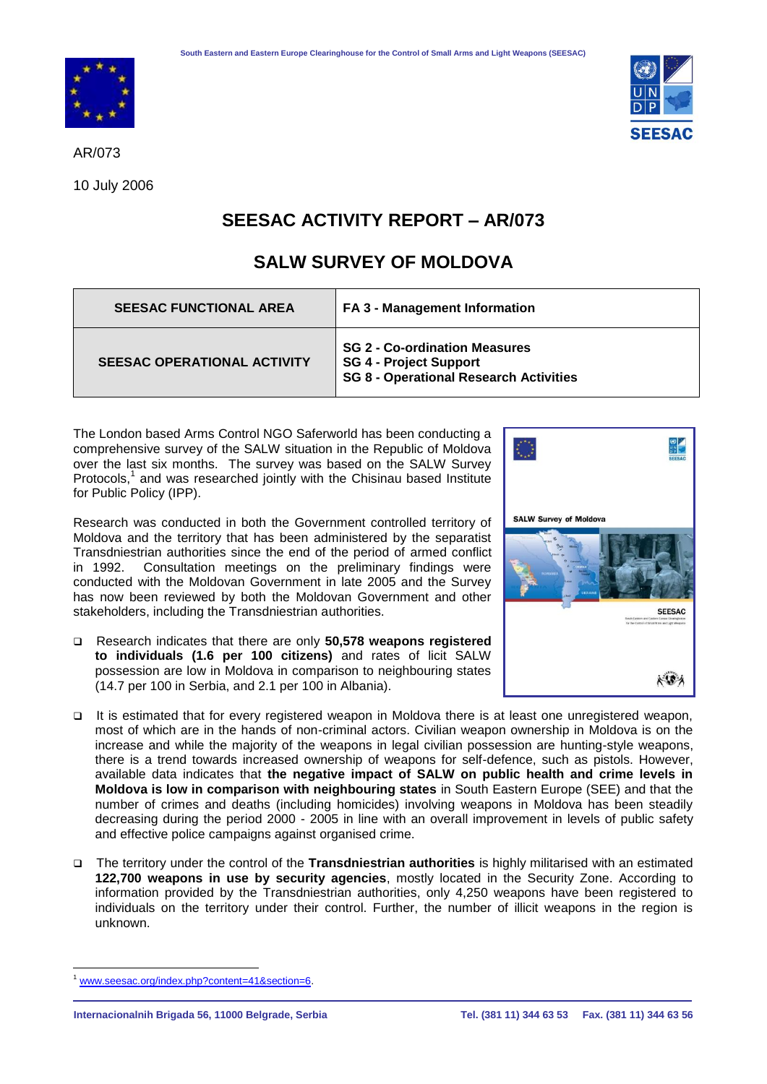

AR/073

10 July 2006



## **SEESAC ACTIVITY REPORT – AR/073**

## **SALW SURVEY OF MOLDOVA**

| <b>SEESAC FUNCTIONAL AREA</b>      | FA 3 - Management Information                                                                                          |
|------------------------------------|------------------------------------------------------------------------------------------------------------------------|
| <b>SEESAC OPERATIONAL ACTIVITY</b> | <b>SG 2 - Co-ordination Measures</b><br><b>SG 4 - Project Support</b><br><b>SG 8 - Operational Research Activities</b> |

The London based Arms Control NGO Saferworld has been conducting a comprehensive survey of the SALW situation in the Republic of Moldova over the last six months. The survey was based on the SALW Survey Protocols, $<sup>1</sup>$  and was researched jointly with the Chisinau based Institute</sup> for Public Policy (IPP).

Research was conducted in both the Government controlled territory of Moldova and the territory that has been administered by the separatist Transdniestrian authorities since the end of the period of armed conflict in 1992. Consultation meetings on the preliminary findings were conducted with the Moldovan Government in late 2005 and the Survey has now been reviewed by both the Moldovan Government and other stakeholders, including the Transdniestrian authorities.

 Research indicates that there are only **50,578 weapons registered to individuals (1.6 per 100 citizens)** and rates of licit SALW possession are low in Moldova in comparison to neighbouring states (14.7 per 100 in Serbia, and 2.1 per 100 in Albania).



- It is estimated that for every registered weapon in Moldova there is at least one unregistered weapon, most of which are in the hands of non-criminal actors. Civilian weapon ownership in Moldova is on the increase and while the majority of the weapons in legal civilian possession are hunting-style weapons, there is a trend towards increased ownership of weapons for self-defence, such as pistols. However, available data indicates that **the negative impact of SALW on public health and crime levels in Moldova is low in comparison with neighbouring states** in South Eastern Europe (SEE) and that the number of crimes and deaths (including homicides) involving weapons in Moldova has been steadily decreasing during the period 2000 - 2005 in line with an overall improvement in levels of public safety and effective police campaigns against organised crime.
- The territory under the control of the **Transdniestrian authorities** is highly militarised with an estimated **122,700 weapons in use by security agencies**, mostly located in the Security Zone. According to information provided by the Transdniestrian authorities, only 4,250 weapons have been registered to individuals on the territory under their control. Further, the number of illicit weapons in the region is unknown.

 $\overline{a}$ [www.seesac.org/index.php?content=41&section=6.](http://www.seesac.org/index.php?content=41§ion=6)